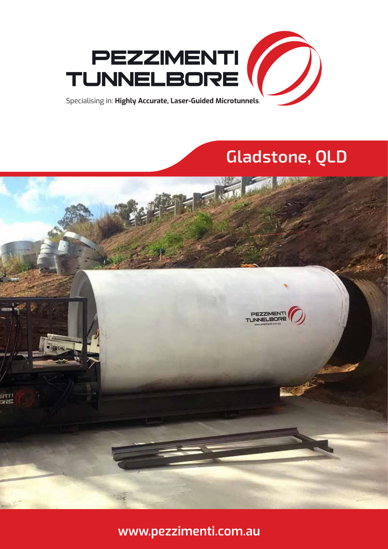

# **Gladstone, QLD**



**www.pezzimenti.com.au**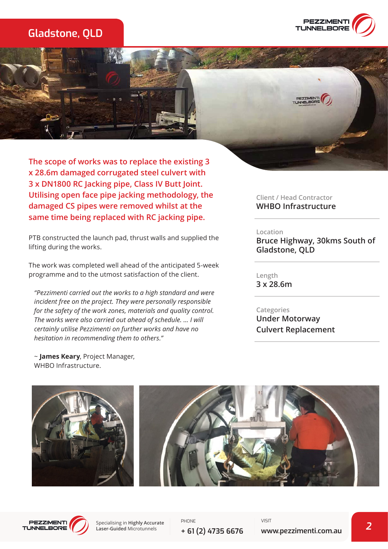# **Gladstone, QLD**



**The scope of works was to replace the existing 3 x 28.6m damaged corrugated steel culvert with 3 x DN1800 RC Jacking pipe, Class IV Butt Joint. Utilising open face pipe jacking methodology, the damaged CS pipes were removed whilst at the same time being replaced with RC jacking pipe.** 

PTB constructed the launch pad, thrust walls and supplied the lifting during the works.

The work was completed well ahead of the anticipated 5-week programme and to the utmost satisfaction of the client.

*"Pezzimenti carried out the works to a high standard and were incident free on the project. They were personally responsible for the safety of the work zones, materials and quality control. The works were also carried out ahead of schedule. ... I will certainly utilise Pezzimenti on further works and have no hesitation in recommending them to others."*

~ **James Keary**, Project Manager, WHBO Infrastructure.

**Client / Head Contractor WHBO Infrastructure**

#### **Location**

**Bruce Highway, 30kms South of Gladstone, QLD**

**Length 3 x 28.6m**

**Categories Under Motorway Culvert Replacement**





Specialising in **Highly Accurate Laser-Guided** Microtunnels

PHONE **+ 61 (2) 4735 6676** VISIT